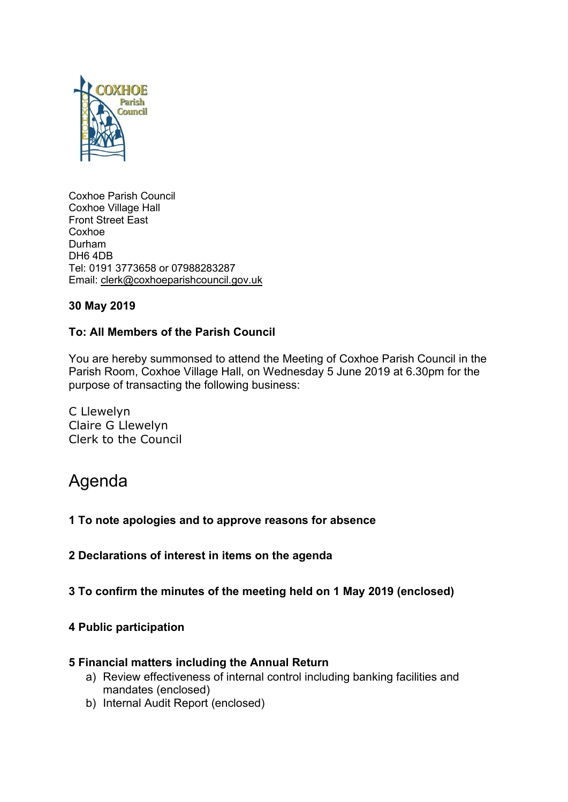

Coxhoe Parish Council Coxhoe Village Hall Front Street East Coxhoe Durham DH6 4DB Tel: 0191 3773658 or 07988283287 Email: [clerk@coxhoeparishcouncil.gov.uk](mailto:clerk@coxhoeparishcouncil.gov.uk)

# **30 May 2019**

## **To: All Members of the Parish Council**

You are hereby summonsed to attend the Meeting of Coxhoe Parish Council in the Parish Room, Coxhoe Village Hall, on Wednesday 5 June 2019 at 6.30pm for the purpose of transacting the following business:

C Llewelyn Claire G Llewelyn Clerk to the Council

# Agenda

- **1 To note apologies and to approve reasons for absence**
- **2 Declarations of interest in items on the agenda**
- **3 To confirm the minutes of the meeting held on 1 May 2019 (enclosed)**

#### **4 Public participation**

#### **5 Financial matters including the Annual Return**

- a) Review effectiveness of internal control including banking facilities and mandates (enclosed)
- b) Internal Audit Report (enclosed)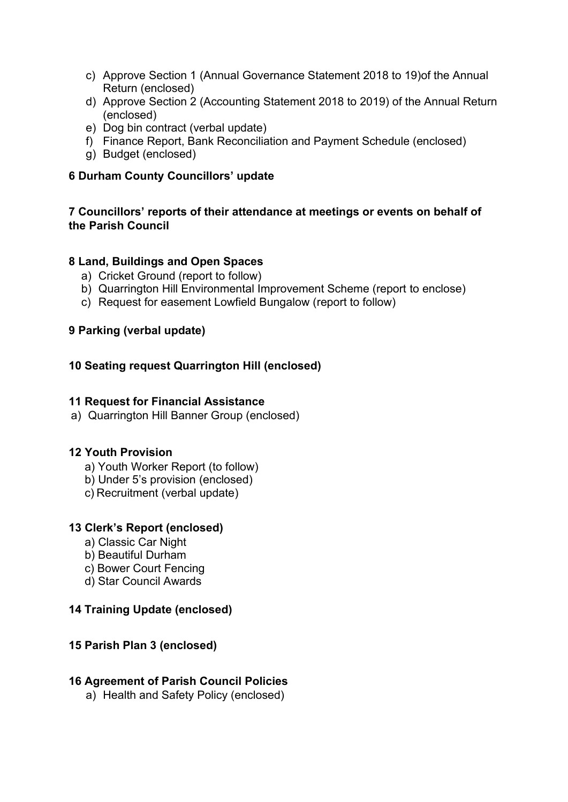- c) Approve Section 1 (Annual Governance Statement 2018 to 19)of the Annual Return (enclosed)
- d) Approve Section 2 (Accounting Statement 2018 to 2019) of the Annual Return (enclosed)
- e) Dog bin contract (verbal update)
- f) Finance Report, Bank Reconciliation and Payment Schedule (enclosed)
- g) Budget (enclosed)

# **6 Durham County Councillors' update**

# **7 Councillors' reports of their attendance at meetings or events on behalf of the Parish Council**

## **8 Land, Buildings and Open Spaces**

- a) Cricket Ground (report to follow)
- b) Quarrington Hill Environmental Improvement Scheme (report to enclose)
- c) Request for easement Lowfield Bungalow (report to follow)

## **9 Parking (verbal update)**

## **10 Seating request Quarrington Hill (enclosed)**

#### **11 Request for Financial Assistance**

a) Quarrington Hill Banner Group (enclosed)

## **12 Youth Provision**

- a) Youth Worker Report (to follow)
- b) Under 5's provision (enclosed)
- c) Recruitment (verbal update)

## **13 Clerk's Report (enclosed)**

- a) Classic Car Night
- b) Beautiful Durham
- c) Bower Court Fencing
- d) Star Council Awards

## **14 Training Update (enclosed)**

## **15 Parish Plan 3 (enclosed)**

## **16 Agreement of Parish Council Policies**

a) Health and Safety Policy (enclosed)